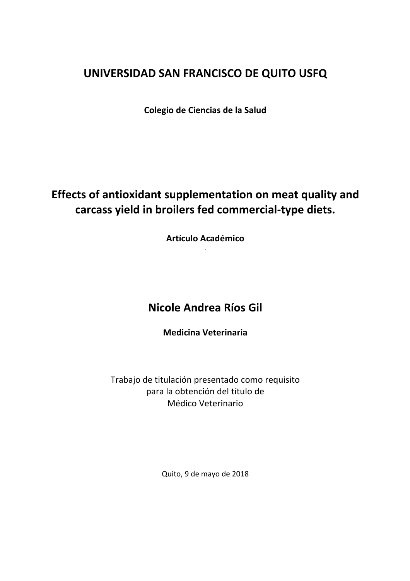# **UNIVERSIDAD SAN FRANCISCO DE QUITO USFQ**

**Colegio de Ciencias de la Salud**

# **Effects of antioxidant supplementation on meat quality and** carcass yield in broilers fed commercial-type diets.

**Artículo Académico** .

# **Nicole Andrea Ríos Gil**

**Medicina Veterinaria**

Trabajo de titulación presentado como requisito para la obtención del título de Médico Veterinario

Quito, 9 de mayo de 2018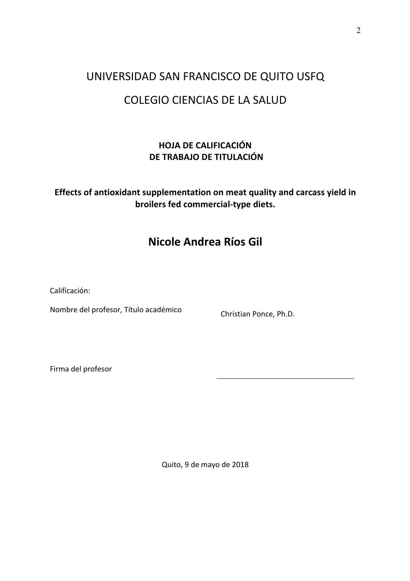# UNIVERSIDAD SAN FRANCISCO DE QUITO USFQ COLEGIO CIENCIAS DE LA SALUD

## **HOJA DE CALIFICACIÓN DE TRABAJO DE TITULACIÓN**

## **Effects of antioxidant supplementation on meat quality and carcass yield in broilers fed commercial-type diets.**

# **Nicole Andrea Ríos Gil**

Calificación:

Nombre del profesor, Título académico Christian Ponce, Ph.D.

Firma del profesor

Quito, 9 de mayo de 2018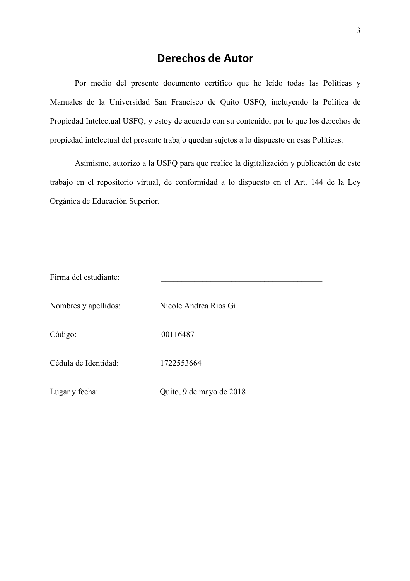# **Derechos de Autor**

Por medio del presente documento certifico que he leído todas las Políticas y Manuales de la Universidad San Francisco de Quito USFQ, incluyendo la Política de Propiedad Intelectual USFQ, y estoy de acuerdo con su contenido, por lo que los derechos de propiedad intelectual del presente trabajo quedan sujetos a lo dispuesto en esas Políticas.

Asimismo, autorizo a la USFQ para que realice la digitalización y publicación de este trabajo en el repositorio virtual, de conformidad a lo dispuesto en el Art. 144 de la Ley Orgánica de Educación Superior.

| Firma del estudiante: |                          |
|-----------------------|--------------------------|
|                       |                          |
| Nombres y apellidos:  | Nicole Andrea Ríos Gil   |
|                       |                          |
| Código:               | 00116487                 |
|                       |                          |
| Cédula de Identidad:  | 1722553664               |
|                       |                          |
| Lugar y fecha:        | Quito, 9 de mayo de 2018 |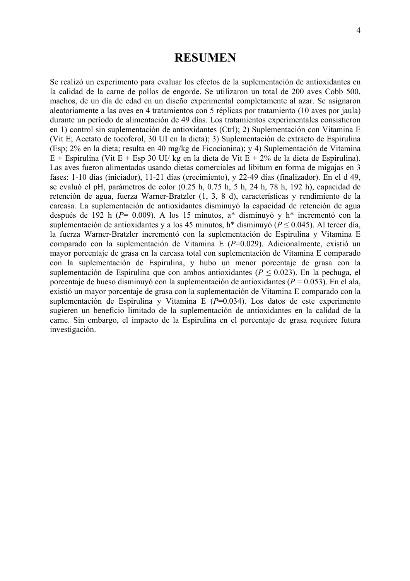## **RESUMEN**

Se realizó un experimento para evaluar los efectos de la suplementación de antioxidantes en la calidad de la carne de pollos de engorde. Se utilizaron un total de 200 aves Cobb 500, machos, de un día de edad en un diseño experimental completamente al azar. Se asignaron aleatoriamente a las aves en 4 tratamientos con 5 réplicas por tratamiento (10 aves por jaula) durante un período de alimentación de 49 días. Los tratamientos experimentales consistieron en 1) control sin suplementación de antioxidantes (Ctrl); 2) Suplementación con Vitamina E (Vit E; Acetato de tocoferol, 30 UI en la dieta); 3) Suplementación de extracto de Espirulina (Esp; 2% en la dieta; resulta en 40 mg/kg de Ficocianina); y 4) Suplementación de Vitamina  $E +$  Espirulina (Vit E + Esp 30 UI/ kg en la dieta de Vit E + 2% de la dieta de Espirulina). Las aves fueron alimentadas usando dietas comerciales ad libitum en forma de migajas en 3 fases: 1-10 días (iniciador), 11-21 días (crecimiento), y 22-49 días (finalizador). En el d 49, se evaluó el pH, parámetros de color (0.25 h, 0.75 h, 5 h, 24 h, 78 h, 192 h), capacidad de retención de agua, fuerza Warner-Bratzler (1, 3, 8 d), características y rendimiento de la carcasa. La suplementación de antioxidantes disminuyó la capacidad de retención de agua después de 192 h (*P*= 0.009). A los 15 minutos, a\* disminuyó y h\* incrementó con la suplementación de antioxidantes y a los 45 minutos, h\* disminuyó (*P* ≤ 0.045). Al tercer día, la fuerza Warner-Bratzler incrementó con la suplementación de Espirulina y Vitamina E comparado con la suplementación de Vitamina E (*P*=0.029). Adicionalmente, existió un mayor porcentaje de grasa en la carcasa total con suplementación de Vitamina E comparado con la suplementación de Espirulina, y hubo un menor porcentaje de grasa con la suplementación de Espirulina que con ambos antioxidantes ( $P \le 0.023$ ). En la pechuga, el porcentaje de hueso disminuyó con la suplementación de antioxidantes (*P* = 0.053). En el ala, existió un mayor porcentaje de grasa con la suplementación de Vitamina E comparado con la suplementación de Espirulina y Vitamina E (*P*=0.034). Los datos de este experimento sugieren un beneficio limitado de la suplementación de antioxidantes en la calidad de la carne. Sin embargo, el impacto de la Espirulina en el porcentaje de grasa requiere futura investigación.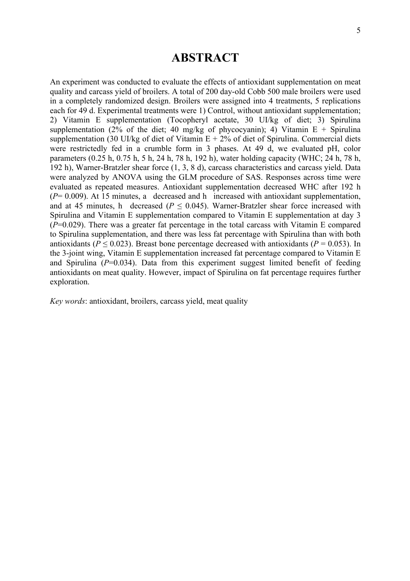## **ABSTRACT**

An experiment was conducted to evaluate the effects of antioxidant supplementation on meat quality and carcass yield of broilers. A total of 200 day-old Cobb 500 male broilers were used in a completely randomized design. Broilers were assigned into 4 treatments, 5 replications each for 49 d. Experimental treatments were 1) Control, without antioxidant supplementation; 2) Vitamin E supplementation (Tocopheryl acetate, 30 UI/kg of diet; 3) Spirulina supplementation (2% of the diet; 40 mg/kg of phycocyanin); 4) Vitamin  $E +$  Spirulina supplementation (30 UI/kg of diet of Vitamin  $E + 2\%$  of diet of Spirulina. Commercial diets were restrictedly fed in a crumble form in 3 phases. At 49 d, we evaluated pH, color parameters (0.25 h, 0.75 h, 5 h, 24 h, 78 h, 192 h), water holding capacity (WHC; 24 h, 78 h, 192 h), Warner-Bratzler shear force (1, 3, 8 d), carcass characteristics and carcass yield. Data were analyzed by ANOVA using the GLM procedure of SAS. Responses across time were evaluated as repeated measures. Antioxidant supplementation decreased WHC after 192 h (*P*= 0.009). At 15 minutes, a decreased and h increased with antioxidant supplementation, and at 45 minutes, h decreased ( $P \le 0.045$ ). Warner-Bratzler shear force increased with Spirulina and Vitamin E supplementation compared to Vitamin E supplementation at day 3 (*P*=0.029). There was a greater fat percentage in the total carcass with Vitamin E compared to Spirulina supplementation, and there was less fat percentage with Spirulina than with both antioxidants ( $P \le 0.023$ ). Breast bone percentage decreased with antioxidants ( $P = 0.053$ ). In the 3-joint wing. Vitamin E supplementation increased fat percentage compared to Vitamin E and Spirulina  $(P=0.034)$ . Data from this experiment suggest limited benefit of feeding antioxidants on meat quality. However, impact of Spirulina on fat percentage requires further exploration.

*Key words*: antioxidant, broilers, carcass yield, meat quality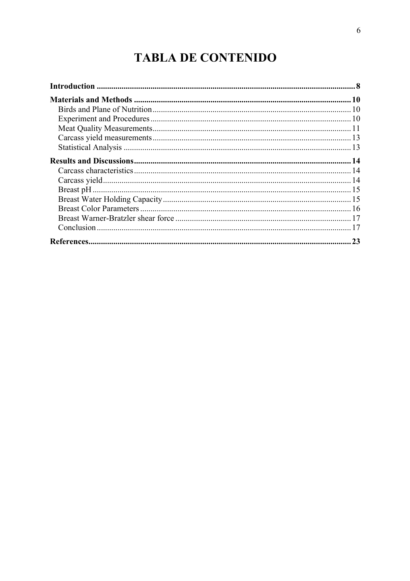# **TABLA DE CONTENIDO**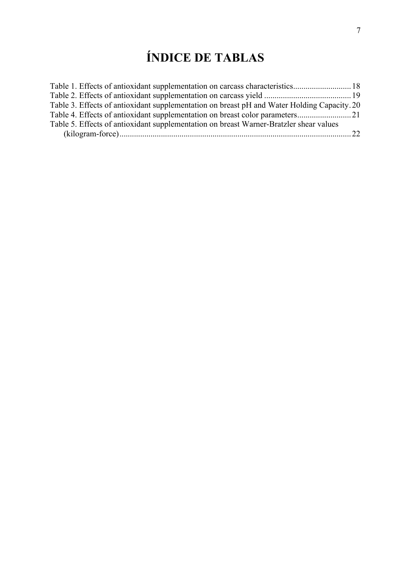# **ÍNDICE DE TABLAS**

| Table 3. Effects of antioxidant supplementation on breast pH and Water Holding Capacity. 20 |  |
|---------------------------------------------------------------------------------------------|--|
|                                                                                             |  |
| Table 5. Effects of antioxidant supplementation on breast Warner-Bratzler shear values      |  |
|                                                                                             |  |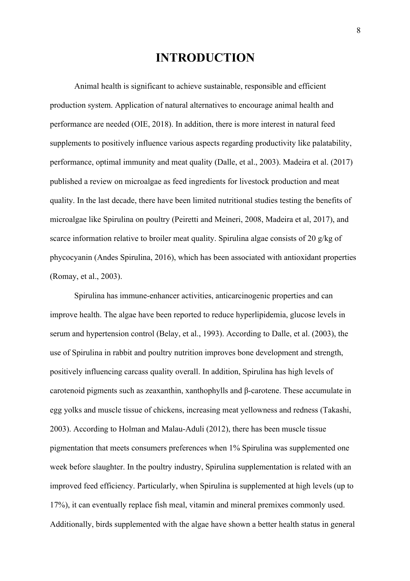# **INTRODUCTION**

Animal health is significant to achieve sustainable, responsible and efficient production system. Application of natural alternatives to encourage animal health and performance are needed (OIE, 2018). In addition, there is more interest in natural feed supplements to positively influence various aspects regarding productivity like palatability, performance, optimal immunity and meat quality (Dalle, et al., 2003). Madeira et al. (2017) published a review on microalgae as feed ingredients for livestock production and meat quality. In the last decade, there have been limited nutritional studies testing the benefits of microalgae like Spirulina on poultry (Peiretti and Meineri, 2008, Madeira et al, 2017), and scarce information relative to broiler meat quality. Spirulina algae consists of 20 g/kg of phycocyanin (Andes Spirulina, 2016), which has been associated with antioxidant properties (Romay, et al., 2003).

Spirulina has immune-enhancer activities, anticarcinogenic properties and can improve health. The algae have been reported to reduce hyperlipidemia, glucose levels in serum and hypertension control (Belay, et al., 1993). According to Dalle, et al. (2003), the use of Spirulina in rabbit and poultry nutrition improves bone development and strength, positively influencing carcass quality overall. In addition, Spirulina has high levels of carotenoid pigments such as zeaxanthin, xanthophylls and β-carotene. These accumulate in egg yolks and muscle tissue of chickens, increasing meat yellowness and redness (Takashi, 2003). According to Holman and Malau-Aduli (2012), there has been muscle tissue pigmentation that meets consumers preferences when 1% Spirulina was supplemented one week before slaughter. In the poultry industry, Spirulina supplementation is related with an improved feed efficiency. Particularly, when Spirulina is supplemented at high levels (up to 17%), it can eventually replace fish meal, vitamin and mineral premixes commonly used. Additionally, birds supplemented with the algae have shown a better health status in general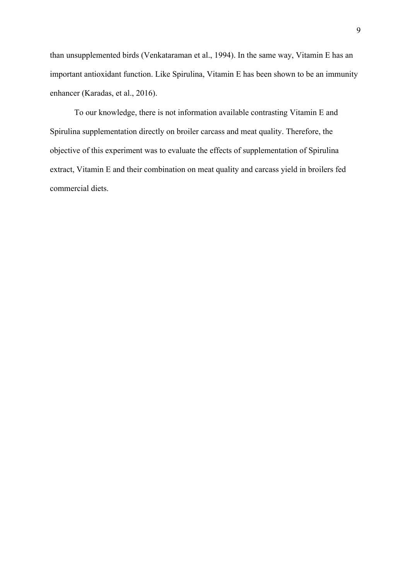than unsupplemented birds (Venkataraman et al., 1994). In the same way, Vitamin E has an important antioxidant function. Like Spirulina, Vitamin E has been shown to be an immunity enhancer (Karadas, et al., 2016).

To our knowledge, there is not information available contrasting Vitamin E and Spirulina supplementation directly on broiler carcass and meat quality. Therefore, the objective of this experiment was to evaluate the effects of supplementation of Spirulina extract, Vitamin E and their combination on meat quality and carcass yield in broilers fed commercial diets.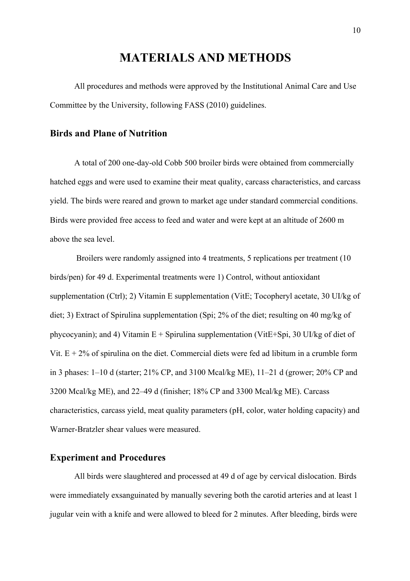# **MATERIALS AND METHODS**

All procedures and methods were approved by the Institutional Animal Care and Use Committee by the University, following FASS (2010) guidelines.

### **Birds and Plane of Nutrition**

A total of 200 one-day-old Cobb 500 broiler birds were obtained from commercially hatched eggs and were used to examine their meat quality, carcass characteristics, and carcass yield. The birds were reared and grown to market age under standard commercial conditions. Birds were provided free access to feed and water and were kept at an altitude of 2600 m above the sea level.

Broilers were randomly assigned into 4 treatments, 5 replications per treatment (10) birds/pen) for 49 d. Experimental treatments were 1) Control, without antioxidant supplementation (Ctrl); 2) Vitamin E supplementation (VitE; Tocopheryl acetate, 30 UI/kg of diet; 3) Extract of Spirulina supplementation (Spi; 2% of the diet; resulting on 40 mg/kg of phycocyanin); and 4) Vitamin  $E +$  Spirulina supplementation (VitE+Spi, 30 UI/kg of diet of Vit.  $E + 2\%$  of spirulina on the diet. Commercial diets were fed ad libitum in a crumble form in 3 phases: 1–10 d (starter; 21% CP, and 3100 Mcal/kg ME), 11–21 d (grower; 20% CP and 3200 Mcal/kg ME), and 22–49 d (finisher; 18% CP and 3300 Mcal/kg ME). Carcass characteristics, carcass yield, meat quality parameters (pH, color, water holding capacity) and Warner-Bratzler shear values were measured.

### **Experiment and Procedures**

All birds were slaughtered and processed at 49 d of age by cervical dislocation. Birds were immediately exsanguinated by manually severing both the carotid arteries and at least 1 jugular vein with a knife and were allowed to bleed for 2 minutes. After bleeding, birds were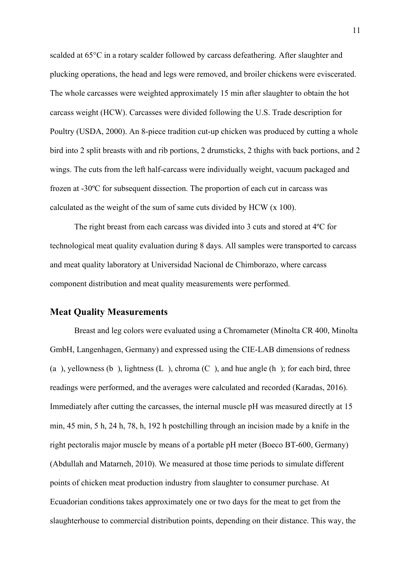scalded at 65°C in a rotary scalder followed by carcass defeathering. After slaughter and plucking operations, the head and legs were removed, and broiler chickens were eviscerated. The whole carcasses were weighted approximately 15 min after slaughter to obtain the hot carcass weight (HCW). Carcasses were divided following the U.S. Trade description for Poultry (USDA, 2000). An 8-piece tradition cut-up chicken was produced by cutting a whole bird into 2 split breasts with and rib portions, 2 drumsticks, 2 thighs with back portions, and 2 wings. The cuts from the left half-carcass were individually weight, vacuum packaged and frozen at -30ºC for subsequent dissection. The proportion of each cut in carcass was calculated as the weight of the sum of same cuts divided by HCW (x 100).

The right breast from each carcass was divided into 3 cuts and stored at 4ºC for technological meat quality evaluation during 8 days. All samples were transported to carcass and meat quality laboratory at Universidad Nacional de Chimborazo, where carcass component distribution and meat quality measurements were performed.

#### **Meat Quality Measurements**

Breast and leg colors were evaluated using a Chromameter (Minolta CR 400, Minolta GmbH, Langenhagen, Germany) and expressed using the CIE-LAB dimensions of redness (a), yellowness (b), lightness (L), chroma (C), and hue angle (h); for each bird, three readings were performed, and the averages were calculated and recorded (Karadas, 2016). Immediately after cutting the carcasses, the internal muscle pH was measured directly at 15 min, 45 min, 5 h, 24 h, 78, h, 192 h postchilling through an incision made by a knife in the right pectoralis major muscle by means of a portable pH meter (Boeco BT-600, Germany) (Abdullah and Matarneh, 2010). We measured at those time periods to simulate different points of chicken meat production industry from slaughter to consumer purchase. At Ecuadorian conditions takes approximately one or two days for the meat to get from the slaughterhouse to commercial distribution points, depending on their distance. This way, the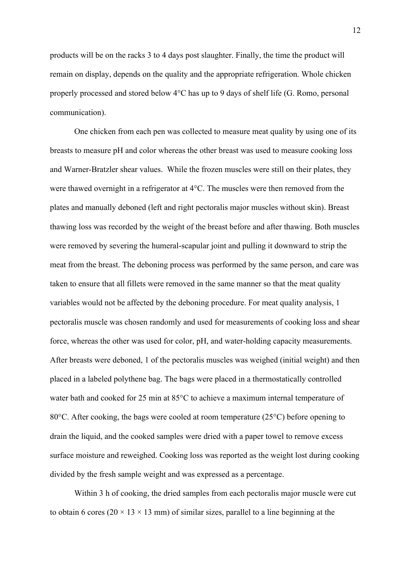products will be on the racks 3 to 4 days post slaughter. Finally, the time the product will remain on display, depends on the quality and the appropriate refrigeration. Whole chicken properly processed and stored below 4°C has up to 9 days of shelf life (G. Romo, personal communication).

One chicken from each pen was collected to measure meat quality by using one of its breasts to measure pH and color whereas the other breast was used to measure cooking loss and Warner-Bratzler shear values. While the frozen muscles were still on their plates, they were thawed overnight in a refrigerator at 4°C. The muscles were then removed from the plates and manually deboned (left and right pectoralis major muscles without skin). Breast thawing loss was recorded by the weight of the breast before and after thawing. Both muscles were removed by severing the humeral-scapular joint and pulling it downward to strip the meat from the breast. The deboning process was performed by the same person, and care was taken to ensure that all fillets were removed in the same manner so that the meat quality variables would not be affected by the deboning procedure. For meat quality analysis, 1 pectoralis muscle was chosen randomly and used for measurements of cooking loss and shear force, whereas the other was used for color, pH, and water-holding capacity measurements. After breasts were deboned, 1 of the pectoralis muscles was weighed (initial weight) and then placed in a labeled polythene bag. The bags were placed in a thermostatically controlled water bath and cooked for 25 min at 85°C to achieve a maximum internal temperature of 80°C. After cooking, the bags were cooled at room temperature (25°C) before opening to drain the liquid, and the cooked samples were dried with a paper towel to remove excess surface moisture and reweighed. Cooking loss was reported as the weight lost during cooking divided by the fresh sample weight and was expressed as a percentage.

Within 3 h of cooking, the dried samples from each pectoral is major muscle were cut to obtain 6 cores ( $20 \times 13 \times 13$  mm) of similar sizes, parallel to a line beginning at the

12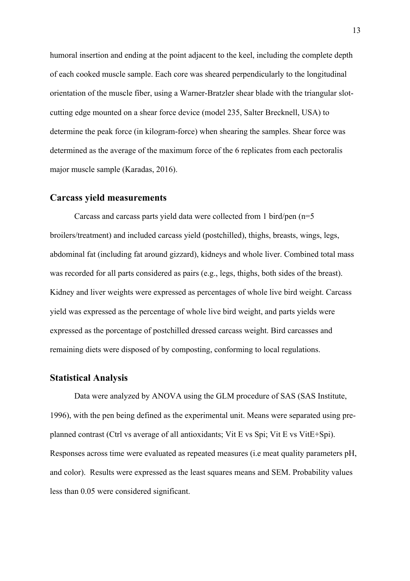humoral insertion and ending at the point adjacent to the keel, including the complete depth of each cooked muscle sample. Each core was sheared perpendicularly to the longitudinal orientation of the muscle fiber, using a Warner-Bratzler shear blade with the triangular slotcutting edge mounted on a shear force device (model 235, Salter Brecknell, USA) to determine the peak force (in kilogram-force) when shearing the samples. Shear force was determined as the average of the maximum force of the 6 replicates from each pectoralis major muscle sample (Karadas, 2016).

#### **Carcass yield measurements**

Carcass and carcass parts yield data were collected from 1 bird/pen (n=5 broilers/treatment) and included carcass yield (postchilled), thighs, breasts, wings, legs, abdominal fat (including fat around gizzard), kidneys and whole liver. Combined total mass was recorded for all parts considered as pairs (e.g., legs, thighs, both sides of the breast). Kidney and liver weights were expressed as percentages of whole live bird weight. Carcass yield was expressed as the percentage of whole live bird weight, and parts yields were expressed as the porcentage of postchilled dressed carcass weight. Bird carcasses and remaining diets were disposed of by composting, conforming to local regulations.

#### **Statistical Analysis**

Data were analyzed by ANOVA using the GLM procedure of SAS (SAS Institute, 1996), with the pen being defined as the experimental unit. Means were separated using preplanned contrast (Ctrl vs average of all antioxidants; Vit E vs Spi; Vit E vs VitE+Spi). Responses across time were evaluated as repeated measures (i.e meat quality parameters pH, and color). Results were expressed as the least squares means and SEM. Probability values less than 0.05 were considered significant.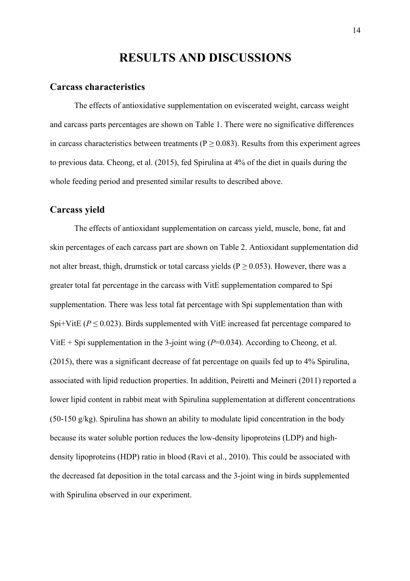# **RESULTS AND DISCUSSIONS**

#### **Carcass characteristics**

The effects of antioxidative supplementation on eviscerated weight, carcass weight and carcass parts percentages are shown on Table 1. There were no significative differences in carcass characteristics between treatments ( $P \ge 0.083$ ). Results from this experiment agrees to previous data. Cheong, et al. (2015), fed Spirulina at 4% of the diet in quails during the whole feeding period and presented similar results to described above.

### **Carcass yield**

The effects of antioxidant supplementation on carcass yield, muscle, bone, fat and skin percentages of each carcass part are shown on Table 2. Antioxidant supplementation did not alter breast, thigh, drumstick or total carcass yields ( $P \ge 0.053$ ). However, there was a greater total fat percentage in the carcass with VitE supplementation compared to Spi supplementation. There was less total fat percentage with Spi supplementation than with Spi+VitE ( $P \le 0.023$ ). Birds supplemented with VitE increased fat percentage compared to VitE + Spi supplementation in the 3-joint wing  $(P=0.034)$ . According to Cheong, et al. (2015), there was a significant decrease of fat percentage on quails fed up to 4% Spirulina, associated with lipid reduction properties. In addition, Peiretti and Meineri (2011) reported a lower lipid content in rabbit meat with Spirulina supplementation at different concentrations (50-150 g/kg). Spirulina has shown an ability to modulate lipid concentration in the body because its water soluble portion reduces the low-density lipoproteins (LDP) and highdensity lipoproteins (HDP) ratio in blood (Ravi et al., 2010). This could be associated with the decreased fat deposition in the total carcass and the 3-joint wing in birds supplemented with Spirulina observed in our experiment.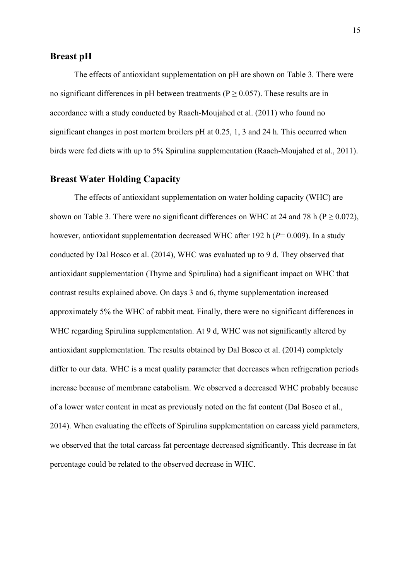### **Breast pH**

The effects of antioxidant supplementation on pH are shown on Table 3. There were no significant differences in pH between treatments ( $P \ge 0.057$ ). These results are in accordance with a study conducted by Raach-Moujahed et al. (2011) who found no significant changes in post mortem broilers pH at 0.25, 1, 3 and 24 h. This occurred when birds were fed diets with up to 5% Spirulina supplementation (Raach-Moujahed et al., 2011).

## **Breast Water Holding Capacity**

The effects of antioxidant supplementation on water holding capacity (WHC) are shown on Table 3. There were no significant differences on WHC at 24 and 78 h ( $P > 0.072$ ), however, antioxidant supplementation decreased WHC after 192 h ( $P= 0.009$ ). In a study conducted by Dal Bosco et al. (2014), WHC was evaluated up to 9 d. They observed that antioxidant supplementation (Thyme and Spirulina) had a significant impact on WHC that contrast results explained above. On days 3 and 6, thyme supplementation increased approximately 5% the WHC of rabbit meat. Finally, there were no significant differences in WHC regarding Spirulina supplementation. At 9 d, WHC was not significantly altered by antioxidant supplementation. The results obtained by Dal Bosco et al. (2014) completely differ to our data. WHC is a meat quality parameter that decreases when refrigeration periods increase because of membrane catabolism. We observed a decreased WHC probably because of a lower water content in meat as previously noted on the fat content (Dal Bosco et al., 2014). When evaluating the effects of Spirulina supplementation on carcass yield parameters, we observed that the total carcass fat percentage decreased significantly. This decrease in fat percentage could be related to the observed decrease in WHC.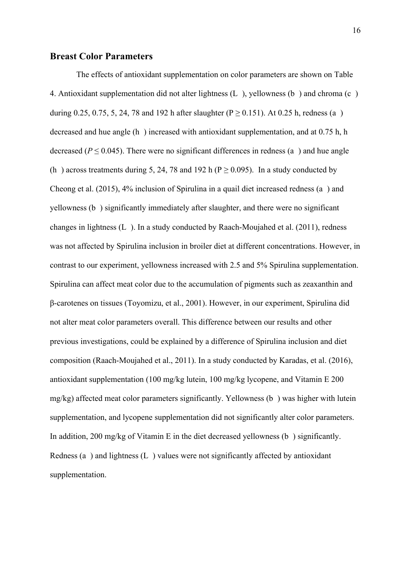#### **Breast Color Parameters**

The effects of antioxidant supplementation on color parameters are shown on Table 4. Antioxidant supplementation did not alter lightness  $(L)$ , yellowness  $(b)$  and chroma  $(c)$ during 0.25, 0.75, 5, 24, 78 and 192 h after slaughter ( $P \ge 0.151$ ). At 0.25 h, redness (a) decreased and hue angle (h) increased with antioxidant supplementation, and at 0.75 h, h decreased ( $P \le 0.045$ ). There were no significant differences in redness (a) and hue angle (h) across treatments during 5, 24, 78 and 192 h ( $P \ge 0.095$ ). In a study conducted by Cheong et al. (2015), 4% inclusion of Spirulina in a quail diet increased redness (a) and yellowness (b) significantly immediately after slaughter, and there were no significant changes in lightness (L). In a study conducted by Raach-Moujahed et al. (2011), redness was not affected by Spirulina inclusion in broiler diet at different concentrations. However, in contrast to our experiment, yellowness increased with 2.5 and 5% Spirulina supplementation. Spirulina can affect meat color due to the accumulation of pigments such as zeaxanthin and β-carotenes on tissues (Toyomizu, et al., 2001). However, in our experiment, Spirulina did not alter meat color parameters overall. This difference between our results and other previous investigations, could be explained by a difference of Spirulina inclusion and diet composition (Raach-Moujahed et al., 2011). In a study conducted by Karadas, et al. (2016), antioxidant supplementation (100 mg/kg lutein, 100 mg/kg lycopene, and Vitamin E 200 mg/kg) affected meat color parameters significantly. Yellowness (b) was higher with lutein supplementation, and lycopene supplementation did not significantly alter color parameters. In addition, 200 mg/kg of Vitamin E in the diet decreased yellowness (b) significantly. Redness (a) and lightness  $(L)$  values were not significantly affected by antioxidant supplementation.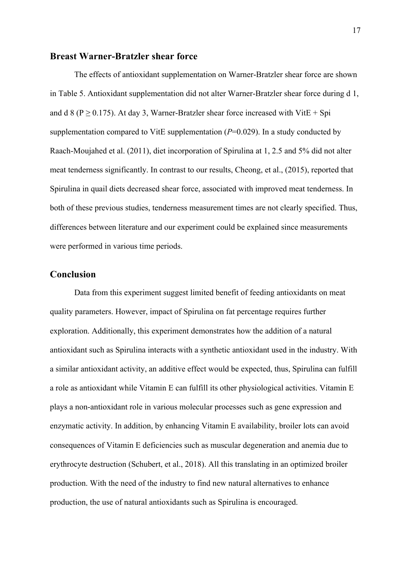#### **Breast Warner-Bratzler shear force**

The effects of antioxidant supplementation on Warner-Bratzler shear force are shown in Table 5. Antioxidant supplementation did not alter Warner-Bratzler shear force during d 1, and d 8 ( $P \ge 0.175$ ). At day 3, Warner-Bratzler shear force increased with VitE + Spi supplementation compared to VitE supplementation (*P*=0.029). In a study conducted by Raach-Moujahed et al. (2011), diet incorporation of Spirulina at 1, 2.5 and 5% did not alter meat tenderness significantly. In contrast to our results, Cheong, et al., (2015), reported that Spirulina in quail diets decreased shear force, associated with improved meat tenderness. In both of these previous studies, tenderness measurement times are not clearly specified. Thus, differences between literature and our experiment could be explained since measurements were performed in various time periods.

### **Conclusion**

Data from this experiment suggest limited benefit of feeding antioxidants on meat quality parameters. However, impact of Spirulina on fat percentage requires further exploration. Additionally, this experiment demonstrates how the addition of a natural antioxidant such as Spirulina interacts with a synthetic antioxidant used in the industry. With a similar antioxidant activity, an additive effect would be expected, thus, Spirulina can fulfill a role as antioxidant while Vitamin E can fulfill its other physiological activities. Vitamin E plays a non-antioxidant role in various molecular processes such as gene expression and enzymatic activity. In addition, by enhancing Vitamin E availability, broiler lots can avoid consequences of Vitamin E deficiencies such as muscular degeneration and anemia due to erythrocyte destruction (Schubert, et al., 2018). All this translating in an optimized broiler production. With the need of the industry to find new natural alternatives to enhance production, the use of natural antioxidants such as Spirulina is encouraged.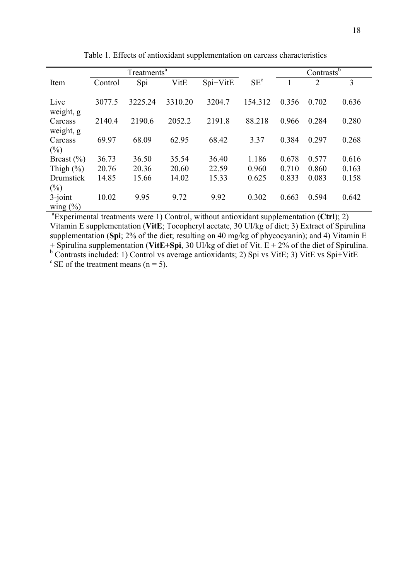|                |         | Treatments <sup>a</sup> |         |          |                 | Contrasts <sup>b</sup> |                |       |
|----------------|---------|-------------------------|---------|----------|-----------------|------------------------|----------------|-------|
| Item           | Control | Spi                     | VitE    | Spi+VitE | SE <sup>c</sup> |                        | $\overline{2}$ | 3     |
|                |         |                         |         |          |                 |                        |                |       |
| Live           | 3077.5  | 3225.24                 | 3310.20 | 3204.7   | 154.312         | 0.356                  | 0.702          | 0.636 |
| weight, g      |         |                         |         |          |                 |                        |                |       |
| Carcass        | 2140.4  | 2190.6                  | 2052.2  | 2191.8   | 88.218          | 0.966                  | 0.284          | 0.280 |
| weight, g      |         |                         |         |          |                 |                        |                |       |
| Carcass        | 69.97   | 68.09                   | 62.95   | 68.42    | 3.37            | 0.384                  | 0.297          | 0.268 |
| $(\%)$         |         |                         |         |          |                 |                        |                |       |
| Breast $(\% )$ | 36.73   | 36.50                   | 35.54   | 36.40    | 1.186           | 0.678                  | 0.577          | 0.616 |
| Thigh $(\% )$  | 20.76   | 20.36                   | 20.60   | 22.59    | 0.960           | 0.710                  | 0.860          | 0.163 |
| Drumstick      | 14.85   | 15.66                   | 14.02   | 15.33    | 0.625           | 0.833                  | 0.083          | 0.158 |
| $(\%)$         |         |                         |         |          |                 |                        |                |       |
| $3$ -joint     | 10.02   | 9.95                    | 9.72    | 9.92     | 0.302           | 0.663                  | 0.594          | 0.642 |
| wing $(\% )$   |         |                         |         |          |                 |                        |                |       |

Table 1. Effects of antioxidant supplementation on carcass characteristics

<sup>a</sup> Experimental treatments were 1) Control, without antioxidant supplementation (Ctrl); 2) Vitamin E supplementation (**VitE**; Tocopheryl acetate, 30 UI/kg of diet; 3) Extract of Spirulina supplementation (**Spi**; 2% of the diet; resulting on 40 mg/kg of phycocyanin); and 4) Vitamin E + Spirulina supplementation (**VitE+Spi**, 30 UI/kg of diet of Vit. E + 2% of the diet of Spirulina. <sup>b</sup> Contrasts included: 1) Control vs average antioxidants; 2) Spi vs VitE; 3) VitE vs Spi+VitE  $\degree$  SE of the treatment means (n = 5).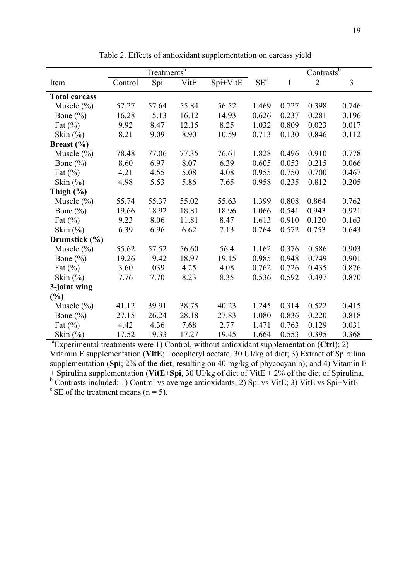|                      |                                                                                                         | Treatments <sup>a</sup> |       |          | Contrastsb      |              |                |       |  |  |
|----------------------|---------------------------------------------------------------------------------------------------------|-------------------------|-------|----------|-----------------|--------------|----------------|-------|--|--|
| Item                 | Control                                                                                                 | Spi                     | VitE  | Spi+VitE | SE <sup>c</sup> | $\mathbf{1}$ | $\overline{2}$ | 3     |  |  |
| <b>Total carcass</b> |                                                                                                         |                         |       |          |                 |              |                |       |  |  |
| Muscle $(\% )$       | 57.27                                                                                                   | 57.64                   | 55.84 | 56.52    | 1.469           | 0.727        | 0.398          | 0.746 |  |  |
| Bone $(\% )$         | 16.28                                                                                                   | 15.13                   | 16.12 | 14.93    | 0.626           | 0.237        | 0.281          | 0.196 |  |  |
| Fat $(\%)$           | 9.92                                                                                                    | 8.47                    | 12.15 | 8.25     | 1.032           | 0.809        | 0.023          | 0.017 |  |  |
| Skin $(\%)$          | 8.21                                                                                                    | 9.09                    | 8.90  | 10.59    | 0.713           | 0.130        | 0.846          | 0.112 |  |  |
| Breast $(\% )$       |                                                                                                         |                         |       |          |                 |              |                |       |  |  |
| Muscle $(\% )$       | 78.48                                                                                                   | 77.06                   | 77.35 | 76.61    | 1.828           | 0.496        | 0.910          | 0.778 |  |  |
| Bone $(\% )$         | 8.60                                                                                                    | 6.97                    | 8.07  | 6.39     | 0.605           | 0.053        | 0.215          | 0.066 |  |  |
| Fat $(\% )$          | 4.21                                                                                                    | 4.55                    | 5.08  | 4.08     | 0.955           | 0.750        | 0.700          | 0.467 |  |  |
| Skin $(\%)$          | 4.98                                                                                                    | 5.53                    | 5.86  | 7.65     | 0.958           | 0.235        | 0.812          | 0.205 |  |  |
| Thigh $(\% )$        |                                                                                                         |                         |       |          |                 |              |                |       |  |  |
| Muscle $(\% )$       | 55.74                                                                                                   | 55.37                   | 55.02 | 55.63    | 1.399           | 0.808        | 0.864          | 0.762 |  |  |
| Bone $(\% )$         | 19.66                                                                                                   | 18.92                   | 18.81 | 18.96    | 1.066           | 0.541        | 0.943          | 0.921 |  |  |
| Fat $(\% )$          | 9.23                                                                                                    | 8.06                    | 11.81 | 8.47     | 1.613           | 0.910        | 0.120          | 0.163 |  |  |
| Skin $(\%)$          | 6.39                                                                                                    | 6.96                    | 6.62  | 7.13     | 0.764           | 0.572        | 0.753          | 0.643 |  |  |
| Drumstick (%)        |                                                                                                         |                         |       |          |                 |              |                |       |  |  |
| Muscle $(\% )$       | 55.62                                                                                                   | 57.52                   | 56.60 | 56.4     | 1.162           | 0.376        | 0.586          | 0.903 |  |  |
| Bone $(\% )$         | 19.26                                                                                                   | 19.42                   | 18.97 | 19.15    | 0.985           | 0.948        | 0.749          | 0.901 |  |  |
| Fat $(\%)$           | 3.60                                                                                                    | .039                    | 4.25  | 4.08     | 0.762           | 0.726        | 0.435          | 0.876 |  |  |
| Skin $(\% )$         | 7.76                                                                                                    | 7.70                    | 8.23  | 8.35     | 0.536           | 0.592        | 0.497          | 0.870 |  |  |
| 3-joint wing         |                                                                                                         |                         |       |          |                 |              |                |       |  |  |
| (%)                  |                                                                                                         |                         |       |          |                 |              |                |       |  |  |
| Muscle $(\% )$       | 41.12                                                                                                   | 39.91                   | 38.75 | 40.23    | 1.245           | 0.314        | 0.522          | 0.415 |  |  |
| Bone $(\% )$         | 27.15                                                                                                   | 26.24                   | 28.18 | 27.83    | 1.080           | 0.836        | 0.220          | 0.818 |  |  |
| Fat $(\%)$           | 4.42                                                                                                    | 4.36                    | 7.68  | 2.77     | 1.471           | 0.763        | 0.129          | 0.031 |  |  |
| Skin $(\% )$         | 17.52                                                                                                   | 19.33                   | 17.27 | 19.45    | 1.664           | 0.553        | 0.395          | 0.368 |  |  |
|                      | ${}^{\text{a}}$ Experimental treatments were 1) Control, without antioxidant supplementation (Ctrl); 2) |                         |       |          |                 |              |                |       |  |  |

Table 2. Effects of antioxidant supplementation on carcass yield

Vitamin E supplementation (**VitE**; Tocopheryl acetate, 30 UI/kg of diet; 3) Extract of Spirulina supplementation (**Spi**; 2% of the diet; resulting on 40 mg/kg of phycocyanin); and 4) Vitamin E + Spirulina supplementation (**VitE+Spi**, 30 UI/kg of diet of VitE + 2% of the diet of Spirulina. <sup>b</sup> Contrasts included: 1) Control vs average antioxidants; 2) Spi vs VitE; 3) VitE vs Spi+VitE  $\degree$  SE of the treatment means (n = 5).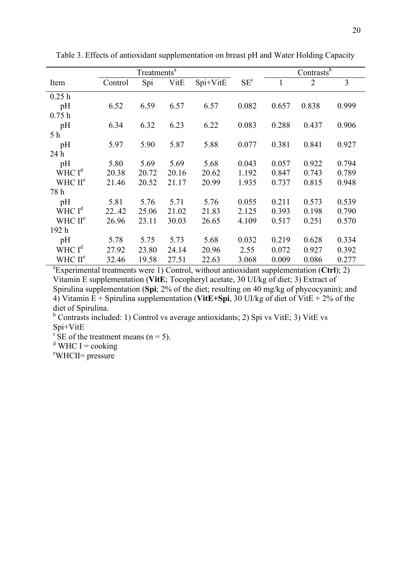|                     |         | Treatments <sup>a</sup> |       |          |                 | Contrasts $\overline{b}$ |                |       |
|---------------------|---------|-------------------------|-------|----------|-----------------|--------------------------|----------------|-------|
| Item                | Control | Spi                     | VitE  | Spi+VitE | SE <sup>c</sup> | $\mathbf{1}$             | $\overline{2}$ | 3     |
| 0.25h               |         |                         |       |          |                 |                          |                |       |
| pH                  | 6.52    | 6.59                    | 6.57  | 6.57     | 0.082           | 0.657                    | 0.838          | 0.999 |
| 0.75h               |         |                         |       |          |                 |                          |                |       |
| pH                  | 6.34    | 6.32                    | 6.23  | 6.22     | 0.083           | 0.288                    | 0.437          | 0.906 |
| 5 <sub>h</sub>      |         |                         |       |          |                 |                          |                |       |
| pH                  | 5.97    | 5.90                    | 5.87  | 5.88     | 0.077           | 0.381                    | 0.841          | 0.927 |
| 24 h                |         |                         |       |          |                 |                          |                |       |
| pH                  | 5.80    | 5.69                    | 5.69  | 5.68     | 0.043           | 0.057                    | 0.922          | 0.794 |
| WHC $Id$            | 20.38   | 20.72                   | 20.16 | 20.62    | 1.192           | 0.847                    | 0.743          | 0.789 |
| WHC II <sup>e</sup> | 21.46   | 20.52                   | 21.17 | 20.99    | 1.935           | 0.737                    | 0.815          | 0.948 |
| 78 h                |         |                         |       |          |                 |                          |                |       |
| pH                  | 5.81    | 5.76                    | 5.71  | 5.76     | 0.055           | 0.211                    | 0.573          | 0.539 |
| WHC $Id$            | 22.42   | 25.06                   | 21.02 | 21.83    | 2.125           | 0.393                    | 0.198          | 0.790 |
| WHC II <sup>e</sup> | 26.96   | 23.11                   | 30.03 | 26.65    | 4.109           | 0.517                    | 0.251          | 0.570 |
| 192 h               |         |                         |       |          |                 |                          |                |       |
| pH                  | 5.78    | 5.75                    | 5.73  | 5.68     | 0.032           | 0.219                    | 0.628          | 0.334 |
| WHC $Id$            | 27.92   | 23.80                   | 24.14 | 20.96    | 2.55            | 0.072                    | 0.927          | 0.392 |
| WHC II <sup>e</sup> | 32.46   | 19.58                   | 27.51 | 22.63    | 3.068           | 0.009                    | 0.086          | 0.277 |

Table 3. Effects of antioxidant supplementation on breast pH and Water Holding Capacity

a Experimental treatments were 1) Control, without antioxidant supplementation (**Ctrl**); 2) Vitamin E supplementation (**VitE**; Tocopheryl acetate, 30 UI/kg of diet; 3) Extract of Spirulina supplementation (**Spi**; 2% of the diet; resulting on 40 mg/kg of phycocyanin); and 4) Vitamin  $E +$  Spirulina supplementation (VitE+Spi, 30 UI/kg of diet of VitE + 2% of the diet of Spirulina.

 $b$  Contrasts included: 1) Control vs average antioxidants; 2) Spi vs VitE; 3) VitE vs Spi+VitE

 $\mathrm{c}^{\,\mathrm{c}}$  SE of the treatment means (n = 5).

 $\frac{d}{d}$ WHC I = cooking

eWHCII= pressure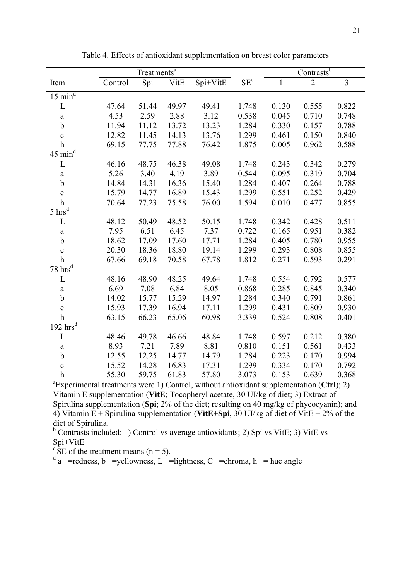|                                | Treatments <sup>a</sup> |       |       |          |                 | Contrastsb   |                |                |
|--------------------------------|-------------------------|-------|-------|----------|-----------------|--------------|----------------|----------------|
| Item                           | Control                 | Spi   | VitE  | Spi+VitE | SE <sup>c</sup> | $\mathbf{1}$ | $\overline{2}$ | $\overline{3}$ |
| $15 \overline{\text{min}^d}$   |                         |       |       |          |                 |              |                |                |
| L                              | 47.64                   | 51.44 | 49.97 | 49.41    | 1.748           | 0.130        | 0.555          | 0.822          |
| $\rm{a}$                       | 4.53                    | 2.59  | 2.88  | 3.12     | 0.538           | 0.045        | 0.710          | 0.748          |
| $\mathbf b$                    | 11.94                   | 11.12 | 13.72 | 13.23    | 1.284           | 0.330        | 0.157          | 0.788          |
| $\mathbf{C}$                   | 12.82                   | 11.45 | 14.13 | 13.76    | 1.299           | 0.461        | 0.150          | 0.840          |
| $\mathbf h$                    | 69.15                   | 77.75 | 77.88 | 76.42    | 1.875           | 0.005        | 0.962          | 0.588          |
| $45 \text{ min}^{\text{d}}$    |                         |       |       |          |                 |              |                |                |
| L                              | 46.16                   | 48.75 | 46.38 | 49.08    | 1.748           | 0.243        | 0.342          | 0.279          |
| $\rm{a}$                       | 5.26                    | 3.40  | 4.19  | 3.89     | 0.544           | 0.095        | 0.319          | 0.704          |
| $\mathbf b$                    | 14.84                   | 14.31 | 16.36 | 15.40    | 1.284           | 0.407        | 0.264          | 0.788          |
| $\mathbf{C}$                   | 15.79                   | 14.77 | 16.89 | 15.43    | 1.299           | 0.551        | 0.252          | 0.429          |
| $\boldsymbol{h}$               | 70.64                   | 77.23 | 75.58 | 76.00    | 1.594           | 0.010        | 0.477          | 0.855          |
| $5 \text{ hrs}^d$              |                         |       |       |          |                 |              |                |                |
| L                              | 48.12                   | 50.49 | 48.52 | 50.15    | 1.748           | 0.342        | 0.428          | 0.511          |
| $\rm{a}$                       | 7.95                    | 6.51  | 6.45  | 7.37     | 0.722           | 0.165        | 0.951          | 0.382          |
| $\mathbf b$                    | 18.62                   | 17.09 | 17.60 | 17.71    | 1.284           | 0.405        | 0.780          | 0.955          |
| $\mathbf c$                    | 20.30                   | 18.36 | 18.80 | 19.14    | 1.299           | 0.293        | 0.808          | 0.855          |
| $\boldsymbol{h}$               | 67.66                   | 69.18 | 70.58 | 67.78    | 1.812           | 0.271        | 0.593          | 0.291          |
| $78~\mathrm{hrs}^{\mathrm{d}}$ |                         |       |       |          |                 |              |                |                |
| L                              | 48.16                   | 48.90 | 48.25 | 49.64    | 1.748           | 0.554        | 0.792          | 0.577          |
| $\rm{a}$                       | 6.69                    | 7.08  | 6.84  | 8.05     | 0.868           | 0.285        | 0.845          | 0.340          |
| $\mathbf b$                    | 14.02                   | 15.77 | 15.29 | 14.97    | 1.284           | 0.340        | 0.791          | 0.861          |
| $\mathbf c$                    | 15.93                   | 17.39 | 16.94 | 17.11    | 1.299           | 0.431        | 0.809          | 0.930          |
| $\mathbf h$                    | 63.15                   | 66.23 | 65.06 | 60.98    | 3.339           | 0.524        | 0.808          | 0.401          |
| $192\ \mathrm{hrs}^\mathrm{d}$ |                         |       |       |          |                 |              |                |                |
| L                              | 48.46                   | 49.78 | 46.66 | 48.84    | 1.748           | 0.597        | 0.212          | 0.380          |
| $\mathbf{a}$                   | 8.93                    | 7.21  | 7.89  | 8.81     | 0.810           | 0.151        | 0.561          | 0.433          |
| $\mathbf b$                    | 12.55                   | 12.25 | 14.77 | 14.79    | 1.284           | 0.223        | 0.170          | 0.994          |
| $\mathbf{C}$                   | 15.52                   | 14.28 | 16.83 | 17.31    | 1.299           | 0.334        | 0.170          | 0.792          |
| $\boldsymbol{h}$               | 55.30                   | 59.75 | 61.83 | 57.80    | 3.073           | 0.153        | 0.639          | 0.368          |

Table 4. Effects of antioxidant supplementation on breast color parameters

a Experimental treatments were 1) Control, without antioxidant supplementation (**Ctrl**); 2) Vitamin E supplementation (**VitE**; Tocopheryl acetate, 30 UI/kg of diet; 3) Extract of Spirulina supplementation (**Spi**; 2% of the diet; resulting on 40 mg/kg of phycocyanin); and 4) Vitamin E + Spirulina supplementation (**VitE+Spi**, 30 UI/kg of diet of VitE + 2% of the diet of Spirulina.

 $b$  Contrasts included: 1) Control vs average antioxidants; 2) Spi vs VitE; 3) VitE vs Spi+VitE

 $\mathrm{c}^{\mathrm{t}}$  SE of the treatment means (n = 5).

 $d_a$  =redness, b =yellowness, L =lightness, C =chroma, h = hue angle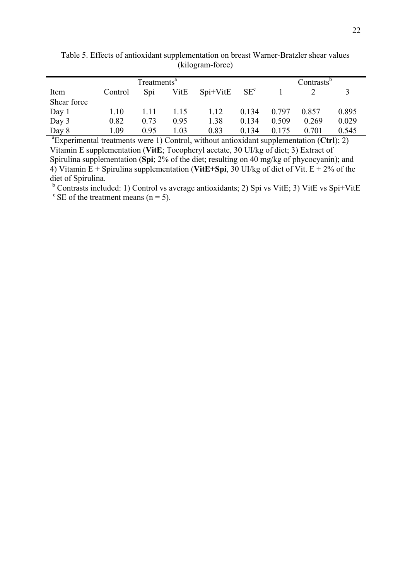|                                                                                                         | Treatments <sup>a</sup> |      |      |            |                 |       | Contrasts <sup>b</sup> |       |
|---------------------------------------------------------------------------------------------------------|-------------------------|------|------|------------|-----------------|-------|------------------------|-------|
| Item                                                                                                    | Control                 | Spi  | VitE | $Spi+VitE$ | SE <sup>c</sup> |       |                        |       |
| Shear force                                                                                             |                         |      |      |            |                 |       |                        |       |
| Day 1                                                                                                   | 1.10                    | 1.11 | 1.15 | 1.12       | 0.134           | 0.797 | 0.857                  | 0.895 |
| Day 3                                                                                                   | 0.82                    | 0.73 | 0.95 | 1.38       | 0.134           | 0.509 | 0.269                  | 0.029 |
| Day 8                                                                                                   | 1.09                    | 0.95 | 1.03 | 0.83       | 0.134           | 0.175 | 0.701                  | 0.545 |
| ${}^{\text{a}}$ Experimental treatments were 1) Control, without antioxidant supplementation (Ctrl); 2) |                         |      |      |            |                 |       |                        |       |

Table 5. Effects of antioxidant supplementation on breast Warner-Bratzler shear values (kilogram-force)

Vitamin E supplementation (**VitE**; Tocopheryl acetate, 30 UI/kg of diet; 3) Extract of Spirulina supplementation (**Spi**; 2% of the diet; resulting on 40 mg/kg of phycocyanin); and 4) Vitamin  $E +$  Spirulina supplementation (VitE+Spi, 30 UI/kg of diet of Vit.  $E + 2\%$  of the diet of Spirulina.

 $<sup>b</sup>$  Contrasts included: 1) Control vs average antioxidants; 2) Spi vs VitE; 3) VitE vs Spi+VitE</sup>  $\mathrm{c}$  SE of the treatment means (n = 5).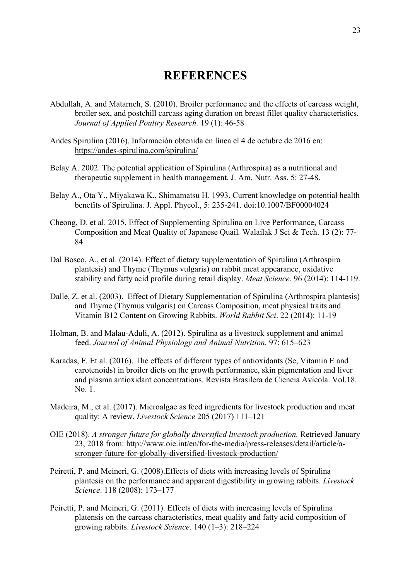## **REFERENCES**

- Abdullah, A. and Matarneh, S. (2010). Broiler performance and the effects of carcass weight, broiler sex, and postchill carcass aging duration on breast fillet quality characteristics. *Journal of Applied Poultry Research.* 19 (1): 46-58
- Andes Spirulina (2016). Información obtenida en línea el 4 de octubre de 2016 en: https://andes-spirulina.com/spirulina/
- Belay A. 2002. The potential application of Spirulina (Arthrospira) as a nutritional and therapeutic supplement in health management. J. Am. Nutr. Ass. 5: 27-48.
- Belay A., Ota Y., Miyakawa K., Shimamatsu H. 1993. Current knowledge on potential health benefits of Spirulina. J. Appl. Phycol., 5: 235-241. doi:10.1007/BF00004024
- Cheong, D. et al. 2015. Effect of Supplementing Spirulina on Live Performance, Carcass Composition and Meat Quality of Japanese Quail*.* Walailak J Sci & Tech. 13 (2): 77- 84
- Dal Bosco, A., et al. (2014). Effect of dietary supplementation of Spirulina (Arthrospira plantesis) and Thyme (Thymus vulgaris) on rabbit meat appearance, oxidative stability and fatty acid profile during retail display. *Meat Science.* 96 (2014): 114-119.
- Dalle, Z. et al. (2003). Effect of Dietary Supplementation of Spirulina (Arthrospira plantesis) and Thyme (Thymus vulgaris) on Carcass Composition, meat physical traits and Vitamin B12 Content on Growing Rabbits. *World Rabbit Sci*. 22 (2014): 11-19
- Holman, B. and Malau-Aduli, A. (2012). Spirulina as a livestock supplement and animal feed. *Journal of Animal Physiology and Animal Nutrition.* 97: 615–623
- Karadas, F. Et al. (2016). The effects of different types of antioxidants (Se, Vitamin E and carotenoids) in broiler diets on the growth performance, skin pigmentation and liver and plasma antioxidant concentrations. Revista Brasilera de Ciencia Avícola. Vol.18. No. 1.
- Madeira, M., et al. (2017). Microalgae as feed ingredients for livestock production and meat quality: A review. *Livestock Science* 205 (2017) 111–121
- OIE (2018). *A stronger future for globally diversified livestock production.* Retrieved January 23, 2018 from: http://www.oie.int/en/for-the-media/press-releases/detail/article/astronger-future-for-globally-diversified-livestock-production/
- Peiretti, P. and Meineri, G. (2008).Effects of diets with increasing levels of Spirulina plantesis on the performance and apparent digestibility in growing rabbits. *Livestock Science*. 118 (2008): 173–177
- Peiretti, P. and Meineri, G. (2011). Effects of diets with increasing levels of Spirulina platensis on the carcass characteristics, meat quality and fatty acid composition of growing rabbits. *Livestock Science*. 140 (1–3): 218–224